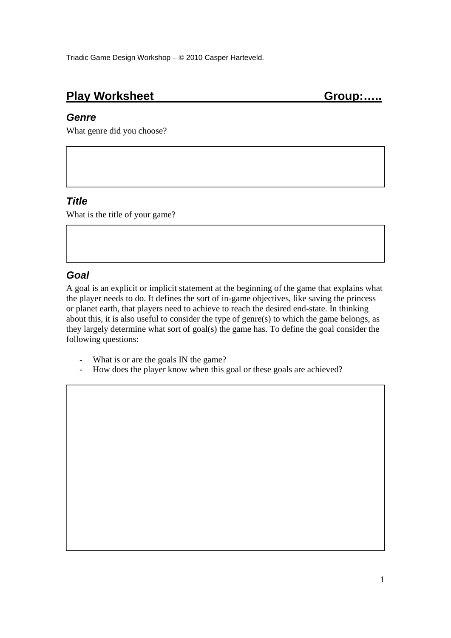# Play Worksheet Group:.....

### *Genre*

What genre did you choose?

### *Title*

What is the title of your game?

## *Goal*

A goal is an explicit or implicit statement at the beginning of the game that explains what the player needs to do. It defines the sort of in-game objectives, like saving the princess or planet earth, that players need to achieve to reach the desired end-state. In thinking about this, it is also useful to consider the type of genre(s) to which the game belongs, as they largely determine what sort of goal(s) the game has. To define the goal consider the following questions:

- What is or are the goals IN the game?
- How does the player know when this goal or these goals are achieved?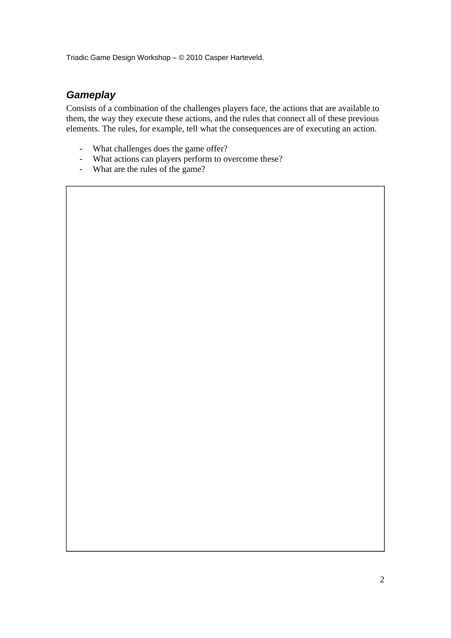## *Gameplay*

Consists of a combination of the challenges players face, the actions that are available to them, the way they execute these actions, and the rules that connect all of these previous elements. The rules, for example, tell what the consequences are of executing an action.

- What challenges does the game offer?
- What actions can players perform to overcome these?
- What are the rules of the game?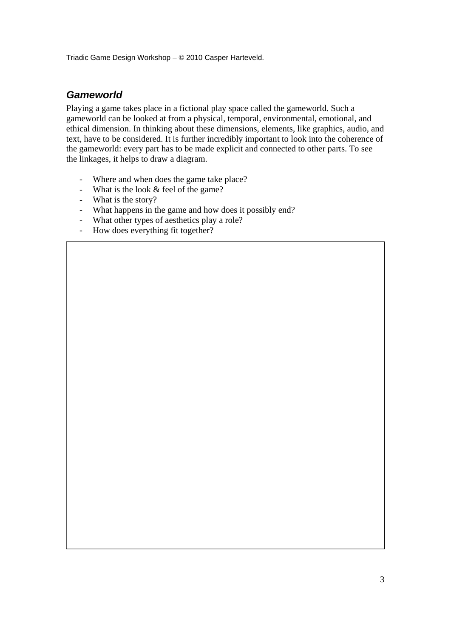### *Gameworld*

Playing a game takes place in a fictional play space called the gameworld. Such a gameworld can be looked at from a physical, temporal, environmental, emotional, and ethical dimension. In thinking about these dimensions, elements, like graphics, audio, and text, have to be considered. It is further incredibly important to look into the coherence of the gameworld: every part has to be made explicit and connected to other parts. To see the linkages, it helps to draw a diagram.

- Where and when does the game take place?
- What is the look  $&$  feel of the game?
- What is the story?
- What happens in the game and how does it possibly end?
- What other types of aesthetics play a role?
- How does everything fit together?